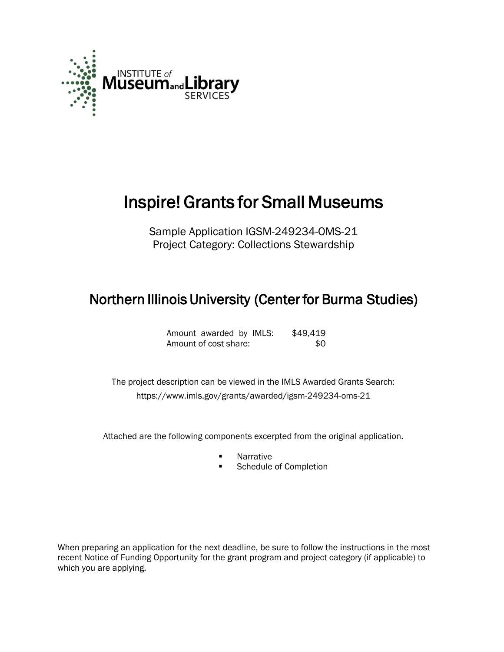

# Inspire! Grants for Small Museums

Sample Application IGSM-249234-OMS-21 Project Category: Collections Stewardship

# Northern Illinois University (Center for Burma Studies)

| Amount awarded by IMLS: |  | \$49,419 |
|-------------------------|--|----------|
| Amount of cost share:   |  | -SO      |

 The project description can be viewed in the IMLS Awarded Grants Search: <https://www.imls.gov/grants/awarded/igsm-249234-oms-21>

Attached are the following components excerpted from the original application.

- Narrative
- Schedule of Completion

When preparing an application for the next deadline, be sure to follow the instructions in the most recent Notice of Funding Opportunity for the grant program and project category (if applicable) to which you are applying.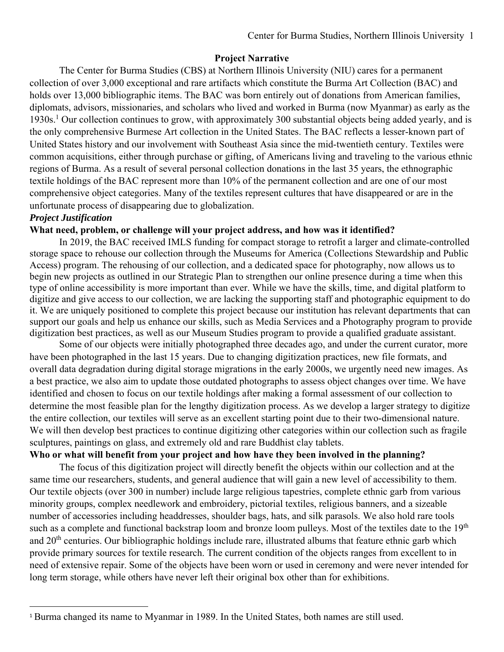# **Project Narrative**

The Center for Burma Studies (CBS) at Northern Illinois University (NIU) cares for a permanent collection of over 3,000 exceptional and rare artifacts which constitute the Burma Art Collection (BAC) and holds over 13,000 bibliographic items. The BAC was born entirely out of donations from American families, diplomats, advisors, missionaries, and scholars who lived and worked in Burma (now Myanmar) as early as the 1930s.<sup>1</sup> Our collection continues to grow, with approximately 300 substantial objects being added yearly, and is the only comprehensive Burmese Art collection in the United States. The BAC reflects a lesser-known part of United States history and our involvement with Southeast Asia since the mid-twentieth century. Textiles were common acquisitions, either through purchase or gifting, of Americans living and traveling to the various ethnic regions of Burma. As a result of several personal collection donations in the last 35 years, the ethnographic textile holdings of the BAC represent more than 10% of the permanent collection and are one of our most comprehensive object categories. Many of the textiles represent cultures that have disappeared or are in the unfortunate process of disappearing due to globalization.

# *Project Justification*

#### **What need, problem, or challenge will your project address, and how was it identified?**

In 2019, the BAC received IMLS funding for compact storage to retrofit a larger and climate-controlled storage space to rehouse our collection through the Museums for America (Collections Stewardship and Public Access) program. The rehousing of our collection, and a dedicated space for photography, now allows us to begin new projects as outlined in our Strategic Plan to strengthen our online presence during a time when this type of online accessibility is more important than ever. While we have the skills, time, and digital platform to digitize and give access to our collection, we are lacking the supporting staff and photographic equipment to do it. We are uniquely positioned to complete this project because our institution has relevant departments that can support our goals and help us enhance our skills, such as Media Services and a Photography program to provide digitization best practices, as well as our Museum Studies program to provide a qualified graduate assistant.

Some of our objects were initially photographed three decades ago, and under the current curator, more have been photographed in the last 15 years. Due to changing digitization practices, new file formats, and overall data degradation during digital storage migrations in the early 2000s, we urgently need new images. As a best practice, we also aim to update those outdated photographs to assess object changes over time. We have identified and chosen to focus on our textile holdings after making a formal assessment of our collection to determine the most feasible plan for the lengthy digitization process. As we develop a larger strategy to digitize the entire collection, our textiles will serve as an excellent starting point due to their two-dimensional nature. We will then develop best practices to continue digitizing other categories within our collection such as fragile sculptures, paintings on glass, and extremely old and rare Buddhist clay tablets.

# **Who or what will benefit from your project and how have they been involved in the planning?**

The focus of this digitization project will directly benefit the objects within our collection and at the same time our researchers, students, and general audience that will gain a new level of accessibility to them. Our textile objects (over 300 in number) include large religious tapestries, complete ethnic garb from various minority groups, complex needlework and embroidery, pictorial textiles, religious banners, and a sizeable number of accessories including headdresses, shoulder bags, hats, and silk parasols. We also hold rare tools such as a complete and functional backstrap loom and bronze loom pulleys. Most of the textiles date to the 19<sup>th</sup> and 20<sup>th</sup> centuries. Our bibliographic holdings include rare, illustrated albums that feature ethnic garb which provide primary sources for textile research. The current condition of the objects ranges from excellent to in need of extensive repair. Some of the objects have been worn or used in ceremony and were never intended for long term storage, while others have never left their original box other than for exhibitions.

<sup>&</sup>lt;sup>1</sup> Burma changed its name to Myanmar in 1989. In the United States, both names are still used.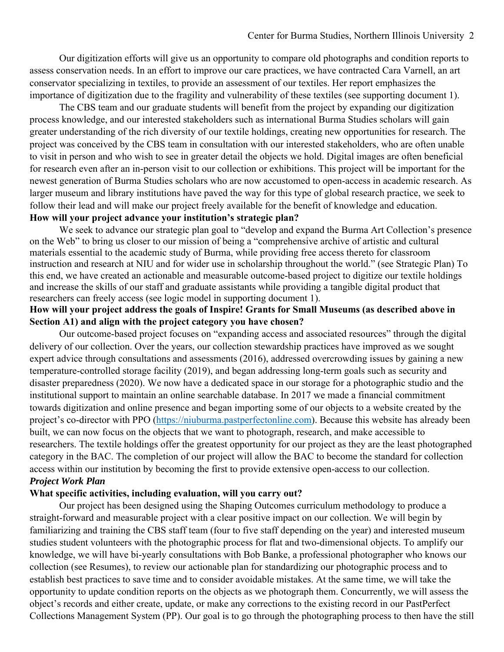Our digitization efforts will give us an opportunity to compare old photographs and condition reports to assess conservation needs. In an effort to improve our care practices, we have contracted Cara Varnell, an art conservator specializing in textiles, to provide an assessment of our textiles. Her report emphasizes the importance of digitization due to the fragility and vulnerability of these textiles (see supporting document 1).

The CBS team and our graduate students will benefit from the project by expanding our digitization process knowledge, and our interested stakeholders such as international Burma Studies scholars will gain greater understanding of the rich diversity of our textile holdings, creating new opportunities for research. The project was conceived by the CBS team in consultation with our interested stakeholders, who are often unable to visit in person and who wish to see in greater detail the objects we hold. Digital images are often beneficial for research even after an in-person visit to our collection or exhibitions. This project will be important for the newest generation of Burma Studies scholars who are now accustomed to open-access in academic research. As larger museum and library institutions have paved the way for this type of global research practice, we seek to follow their lead and will make our project freely available for the benefit of knowledge and education. **How will your project advance your institution's strategic plan?** 

We seek to advance our strategic plan goal to "develop and expand the Burma Art Collection's presence on the Web" to bring us closer to our mission of being a "comprehensive archive of artistic and cultural materials essential to the academic study of Burma, while providing free access thereto for classroom instruction and research at NIU and for wider use in scholarship throughout the world." (see Strategic Plan) To this end, we have created an actionable and measurable outcome-based project to digitize our textile holdings and increase the skills of our staff and graduate assistants while providing a tangible digital product that researchers can freely access (see logic model in supporting document 1).

# **How will your project address the goals of Inspire! Grants for Small Museums (as described above in Section A1) and align with the project category you have chosen?**

 Our outcome-based project focuses on "expanding access and associated resources" through the digital delivery of our collection. Over the years, our collection stewardship practices have improved as we sought expert advice through consultations and assessments (2016), addressed overcrowding issues by gaining a new temperature-controlled storage facility (2019), and began addressing long-term goals such as security and disaster preparedness (2020). We now have a dedicated space in our storage for a photographic studio and the institutional support to maintain an online searchable database. In 2017 we made a financial commitment towards digitization and online presence and began importing some of our objects to a website created by the project's co-director with PPO (https://niuburma.pastperfectonline.com). Because this website has already been built, we can now focus on the objects that we want to photograph, research, and make accessible to researchers. The textile holdings offer the greatest opportunity for our project as they are the least photographed category in the BAC. The completion of our project will allow the BAC to become the standard for collection access within our institution by becoming the first to provide extensive open-access to our collection. *Project Work Plan* 

#### **What specific activities, including evaluation, will you carry out?**

Our project has been designed using the Shaping Outcomes curriculum methodology to produce a straight-forward and measurable project with a clear positive impact on our collection. We will begin by familiarizing and training the CBS staff team (four to five staff depending on the year) and interested museum studies student volunteers with the photographic process for flat and two-dimensional objects. To amplify our knowledge, we will have bi-yearly consultations with Bob Banke, a professional photographer who knows our collection (see Resumes), to review our actionable plan for standardizing our photographic process and to establish best practices to save time and to consider avoidable mistakes. At the same time, we will take the opportunity to update condition reports on the objects as we photograph them. Concurrently, we will assess the object's records and either create, update, or make any corrections to the existing record in our PastPerfect Collections Management System (PP). Our goal is to go through the photographing process to then have the still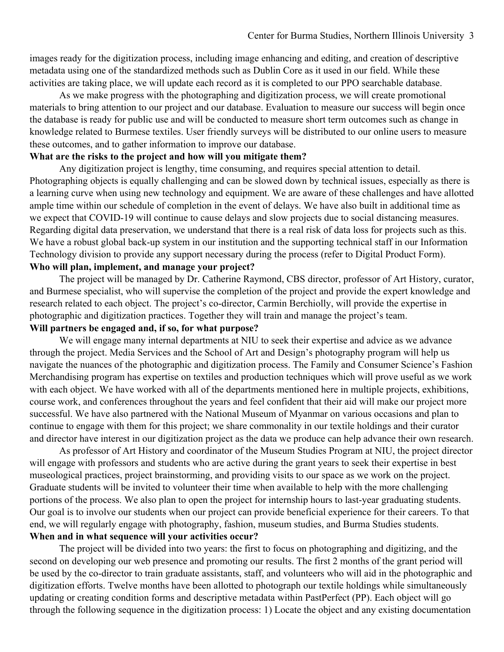images ready for the digitization process, including image enhancing and editing, and creation of descriptive metadata using one of the standardized methods such as Dublin Core as it used in our field. While these activities are taking place, we will update each record as it is completed to our PPO searchable database.

As we make progress with the photographing and digitization process, we will create promotional materials to bring attention to our project and our database. Evaluation to measure our success will begin once the database is ready for public use and will be conducted to measure short term outcomes such as change in knowledge related to Burmese textiles. User friendly surveys will be distributed to our online users to measure these outcomes, and to gather information to improve our database.

#### **What are the risks to the project and how will you mitigate them?**

Any digitization project is lengthy, time consuming, and requires special attention to detail. Photographing objects is equally challenging and can be slowed down by technical issues, especially as there is a learning curve when using new technology and equipment. We are aware of these challenges and have allotted ample time within our schedule of completion in the event of delays. We have also built in additional time as we expect that COVID-19 will continue to cause delays and slow projects due to social distancing measures. Regarding digital data preservation, we understand that there is a real risk of data loss for projects such as this. We have a robust global back-up system in our institution and the supporting technical staff in our Information Technology division to provide any support necessary during the process (refer to Digital Product Form). **Who will plan, implement, and manage your project?** 

 The project will be managed by Dr. Catherine Raymond, CBS director, professor of Art History, curator, and Burmese specialist, who will supervise the completion of the project and provide the expert knowledge and research related to each object. The project's co-director, Carmin Berchiolly, will provide the expertise in photographic and digitization practices. Together they will train and manage the project's team. **Will partners be engaged and, if so, for what purpose?** 

We will engage many internal departments at NIU to seek their expertise and advice as we advance through the project. Media Services and the School of Art and Design's photography program will help us navigate the nuances of the photographic and digitization process. The Family and Consumer Science's Fashion Merchandising program has expertise on textiles and production techniques which will prove useful as we work with each object. We have worked with all of the departments mentioned here in multiple projects, exhibitions, course work, and conferences throughout the years and feel confident that their aid will make our project more successful. We have also partnered with the National Museum of Myanmar on various occasions and plan to continue to engage with them for this project; we share commonality in our textile holdings and their curator and director have interest in our digitization project as the data we produce can help advance their own research.

As professor of Art History and coordinator of the Museum Studies Program at NIU, the project director will engage with professors and students who are active during the grant years to seek their expertise in best museological practices, project brainstorming, and providing visits to our space as we work on the project. Graduate students will be invited to volunteer their time when available to help with the more challenging portions of the process. We also plan to open the project for internship hours to last-year graduating students. Our goal is to involve our students when our project can provide beneficial experience for their careers. To that end, we will regularly engage with photography, fashion, museum studies, and Burma Studies students. **When and in what sequence will your activities occur?** 

The project will be divided into two years: the first to focus on photographing and digitizing, and the second on developing our web presence and promoting our results. The first 2 months of the grant period will be used by the co-director to train graduate assistants, staff, and volunteers who will aid in the photographic and digitization efforts. Twelve months have been allotted to photograph our textile holdings while simultaneously updating or creating condition forms and descriptive metadata within PastPerfect (PP). Each object will go through the following sequence in the digitization process: 1) Locate the object and any existing documentation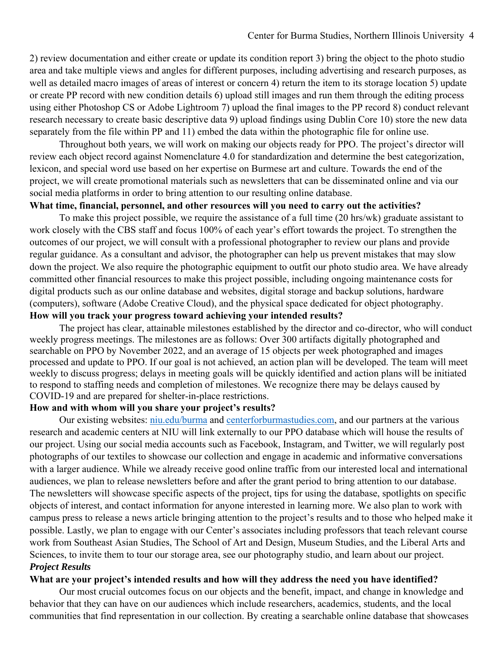2) review documentation and either create or update its condition report 3) bring the object to the photo studio area and take multiple views and angles for different purposes, including advertising and research purposes, as well as detailed macro images of areas of interest or concern 4) return the item to its storage location 5) update or create PP record with new condition details 6) upload still images and run them through the editing process using either Photoshop CS or Adobe Lightroom 7) upload the final images to the PP record 8) conduct relevant research necessary to create basic descriptive data 9) upload findings using Dublin Core 10) store the new data separately from the file within PP and 11) embed the data within the photographic file for online use.

 Throughout both years, we will work on making our objects ready for PPO. The project's director will review each object record against Nomenclature 4.0 for standardization and determine the best categorization, lexicon, and special word use based on her expertise on Burmese art and culture. Towards the end of the project, we will create promotional materials such as newsletters that can be disseminated online and via our social media platforms in order to bring attention to our resulting online database.

#### **What time, financial, personnel, and other resources will you need to carry out the activities?**

 To make this project possible, we require the assistance of a full time (20 hrs/wk) graduate assistant to work closely with the CBS staff and focus 100% of each year's effort towards the project. To strengthen the outcomes of our project, we will consult with a professional photographer to review our plans and provide regular guidance. As a consultant and advisor, the photographer can help us prevent mistakes that may slow down the project. We also require the photographic equipment to outfit our photo studio area. We have already committed other financial resources to make this project possible, including ongoing maintenance costs for digital products such as our online database and websites, digital storage and backup solutions, hardware (computers), software (Adobe Creative Cloud), and the physical space dedicated for object photography. **How will you track your progress toward achieving your intended results?** 

The project has clear, attainable milestones established by the director and co-director, who will conduct weekly progress meetings. The milestones are as follows: Over 300 artifacts digitally photographed and searchable on PPO by November 2022, and an average of 15 objects per week photographed and images processed and update to PPO. If our goal is not achieved, an action plan will be developed. The team will meet weekly to discuss progress; delays in meeting goals will be quickly identified and action plans will be initiated to respond to staffing needs and completion of milestones. We recognize there may be delays caused by COVID-19 and are prepared for shelter-in-place restrictions.

#### **How and with whom will you share your project's results?**

Our existing websites: niu.edu/burma and centerforburmastudies.com, and our partners at the various research and academic centers at NIU will link externally to our PPO database which will house the results of our project. Using our social media accounts such as Facebook, Instagram, and Twitter, we will regularly post photographs of our textiles to showcase our collection and engage in academic and informative conversations with a larger audience. While we already receive good online traffic from our interested local and international audiences, we plan to release newsletters before and after the grant period to bring attention to our database. The newsletters will showcase specific aspects of the project, tips for using the database, spotlights on specific objects of interest, and contact information for anyone interested in learning more. We also plan to work with campus press to release a news article bringing attention to the project's results and to those who helped make it possible. Lastly, we plan to engage with our Center's associates including professors that teach relevant course work from Southeast Asian Studies, The School of Art and Design, Museum Studies, and the Liberal Arts and Sciences, to invite them to tour our storage area, see our photography studio, and learn about our project. *Project Results* 

#### **What are your project's intended results and how will they address the need you have identified?**

Our most crucial outcomes focus on our objects and the benefit, impact, and change in knowledge and behavior that they can have on our audiences which include researchers, academics, students, and the local communities that find representation in our collection. By creating a searchable online database that showcases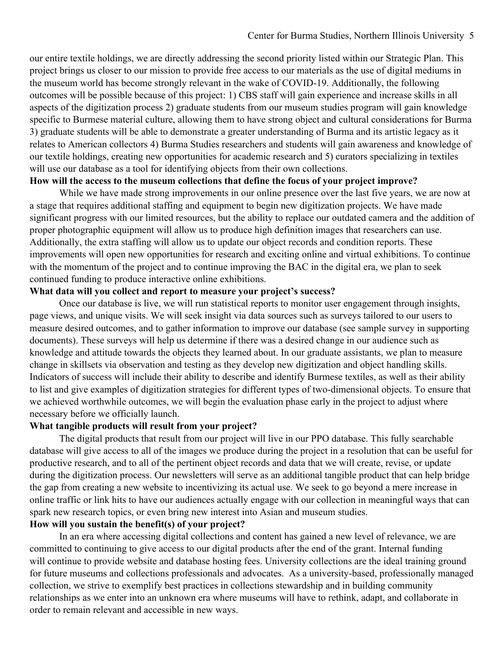our entire textile holdings, we are directly addressing the second priority listed within our Strategic Plan. This project brings us closer to our mission to provide free access to our materials as the use of digital mediums in the museum world has become strongly relevant in the wake of COVID-19. Additionally, the following outcomes will be possible because of this project: 1) CBS staff will gain experience and increase skills in all aspects of the digitization process 2) graduate students from our museum studies program will gain knowledge specific to Burmese material culture, allowing them to have strong object and cultural considerations for Burma 3) graduate students will be able to demonstrate a greater understanding of Burma and its artistic legacy as it relates to American collectors 4) Burma Studies researchers and students will gain awareness and knowledge of our textile holdings, creating new opportunities for academic research and 5) curators specializing in textiles will use our database as a tool for identifying objects from their own collections.

#### **How will the access to the museum collections that define the focus of your project improve?**

 While we have made strong improvements in our online presence over the last five years, we are now at a stage that requires additional staffing and equipment to begin new digitization projects. We have made significant progress with our limited resources, but the ability to replace our outdated camera and the addition of proper photographic equipment will allow us to produce high definition images that researchers can use. Additionally, the extra staffing will allow us to update our object records and condition reports. These improvements will open new opportunities for research and exciting online and virtual exhibitions. To continue with the momentum of the project and to continue improving the BAC in the digital era, we plan to seek continued funding to produce interactive online exhibitions.

#### **What data will you collect and report to measure your project's success?**

Once our database is live, we will run statistical reports to monitor user engagement through insights, page views, and unique visits. We will seek insight via data sources such as surveys tailored to our users to measure desired outcomes, and to gather information to improve our database (see sample survey in supporting documents). These surveys will help us determine if there was a desired change in our audience such as knowledge and attitude towards the objects they learned about. In our graduate assistants, we plan to measure change in skillsets via observation and testing as they develop new digitization and object handling skills. Indicators of success will include their ability to describe and identify Burmese textiles, as well as their ability to list and give examples of digitization strategies for different types of two-dimensional objects. To ensure that we achieved worthwhile outcomes, we will begin the evaluation phase early in the project to adjust where necessary before we officially launch.

#### **What tangible products will result from your project?**

 The digital products that result from our project will live in our PPO database. This fully searchable database will give access to all of the images we produce during the project in a resolution that can be useful for productive research, and to all of the pertinent object records and data that we will create, revise, or update during the digitization process. Our newsletters will serve as an additional tangible product that can help bridge the gap from creating a new website to incentivizing its actual use. We seek to go beyond a mere increase in online traffic or link hits to have our audiences actually engage with our collection in meaningful ways that can spark new research topics, or even bring new interest into Asian and museum studies.

#### **How will you sustain the benefit(s) of your project?**

In an era where accessing digital collections and content has gained a new level of relevance, we are committed to continuing to give access to our digital products after the end of the grant. Internal funding will continue to provide website and database hosting fees. University collections are the ideal training ground for future museums and collections professionals and advocates. As a university-based, professionally managed collection, we strive to exemplify best practices in collections stewardship and in building community relationships as we enter into an unknown era where museums will have to rethink, adapt, and collaborate in order to remain relevant and accessible in new ways.